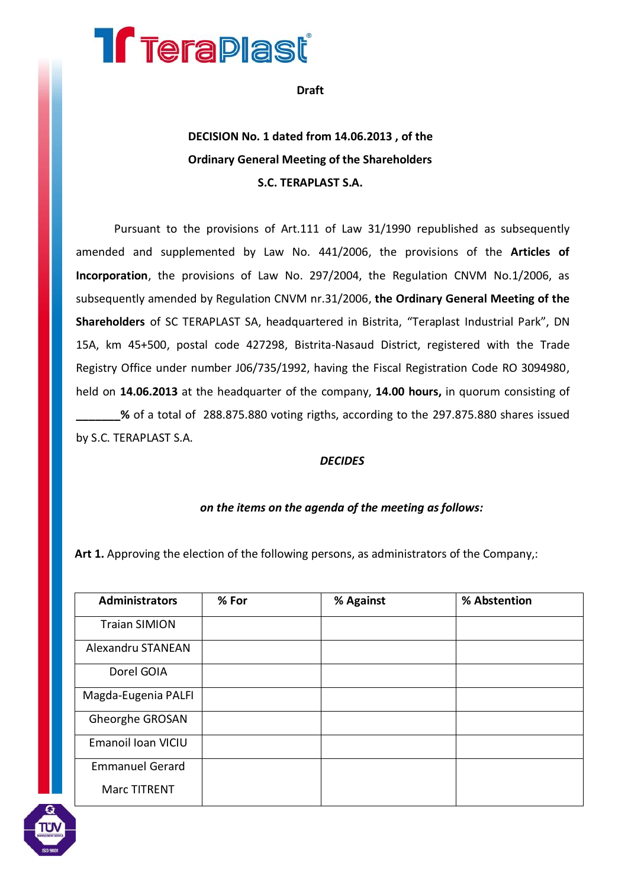# **Treraplast**

**Draft**

## **DECISION No. 1 dated from 14.06.2013 , of the Ordinary General Meeting of the Shareholders S.C. TERAPLAST S.A.**

Pursuant to the provisions of Art.111 of Law 31/1990 republished as subsequently amended and supplemented by Law No. 441/2006, the provisions of the **Articles of Incorporation**, the provisions of Law No. 297/2004, the Regulation CNVM No.1/2006, as subsequently amended by Regulation CNVM nr.31/2006, **the Ordinary General Meeting of the Shareholders** of SC TERAPLAST SA, headquartered in Bistrita, "Teraplast Industrial Park", DN 15A, km 45+500, postal code 427298, Bistrita-Nasaud District, registered with the Trade Registry Office under number J06/735/1992, having the Fiscal Registration Code RO 3094980, held on **14.06.2013** at the headquarter of the company, **14.00 hours,** in quorum consisting of **\_\_\_\_\_\_\_%** of a total of 288.875.880 voting rigths, according to the 297.875.880 shares issued by S.C. TERAPLAST S.A.

#### *DECIDES*

### *on the items on the agenda of the meeting as follows:*

**Art 1.** Approving the election of the following persons, as administrators of the Company,:

| <b>Administrators</b>  | % For | % Against | % Abstention |
|------------------------|-------|-----------|--------------|
| <b>Traian SIMION</b>   |       |           |              |
| Alexandru STANEAN      |       |           |              |
| Dorel GOIA             |       |           |              |
| Magda-Eugenia PALFI    |       |           |              |
| Gheorghe GROSAN        |       |           |              |
| Emanoil Ioan VICIU     |       |           |              |
| <b>Emmanuel Gerard</b> |       |           |              |
| Marc TITRENT           |       |           |              |

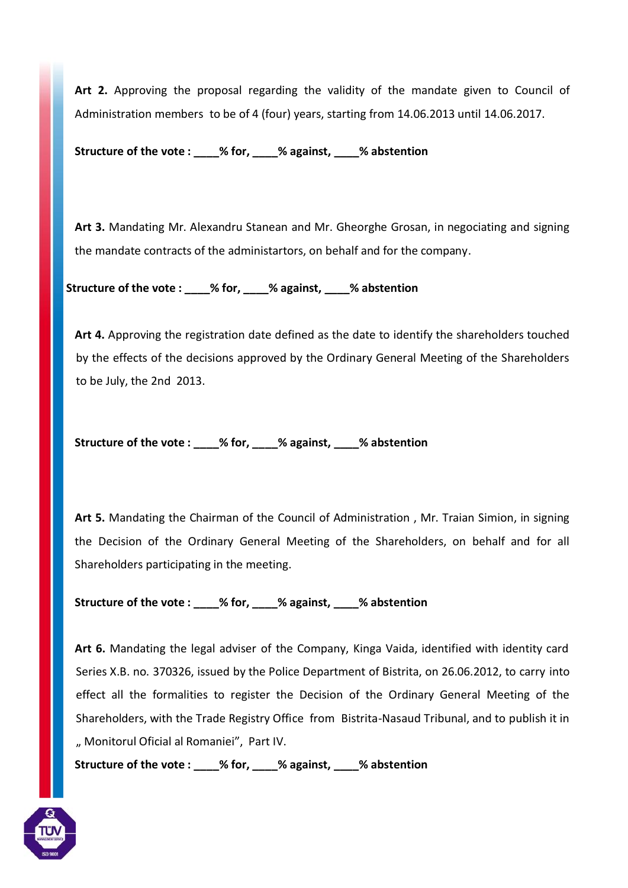**Art 2.** Approving the proposal regarding the validity of the mandate given to Council of Administration members to be of 4 (four) years, starting from 14.06.2013 until 14.06.2017.

**Structure of the vote : \_\_\_\_% for, \_\_\_\_% against, \_\_\_\_% abstention**

**Art 3.** Mandating Mr. Alexandru Stanean and Mr. Gheorghe Grosan, in negociating and signing the mandate contracts of the administartors, on behalf and for the company.

 **Structure of the vote : \_\_\_\_% for, \_\_\_\_% against, \_\_\_\_% abstention**

**Art 4.** Approving the registration date defined as the date to identify the shareholders touched by the effects of the decisions approved by the Ordinary General Meeting of the Shareholders to be July, the 2nd 2013.

**Structure of the vote : \_\_\_\_% for, \_\_\_\_% against, \_\_\_\_% abstention** 

**Art 5.** Mandating the Chairman of the Council of Administration , Mr. Traian Simion, in signing the Decision of the Ordinary General Meeting of the Shareholders, on behalf and for all Shareholders participating in the meeting.

**Structure of the vote : \_\_\_\_% for, \_\_\_\_% against, \_\_\_\_% abstention**

**Art 6.** Mandating the legal adviser of the Company, Kinga Vaida, identified with identity card Series X.B. no. 370326, issued by the Police Department of Bistrita, on 26.06.2012, to carry into effect all the formalities to register the Decision of the Ordinary General Meeting of the Shareholders, with the Trade Registry Office from Bistrita-Nasaud Tribunal, and to publish it in " Monitorul Oficial al Romaniei", Part IV.

**Structure of the vote : \_\_\_\_% for, \_\_\_\_% against, \_\_\_\_% abstention**